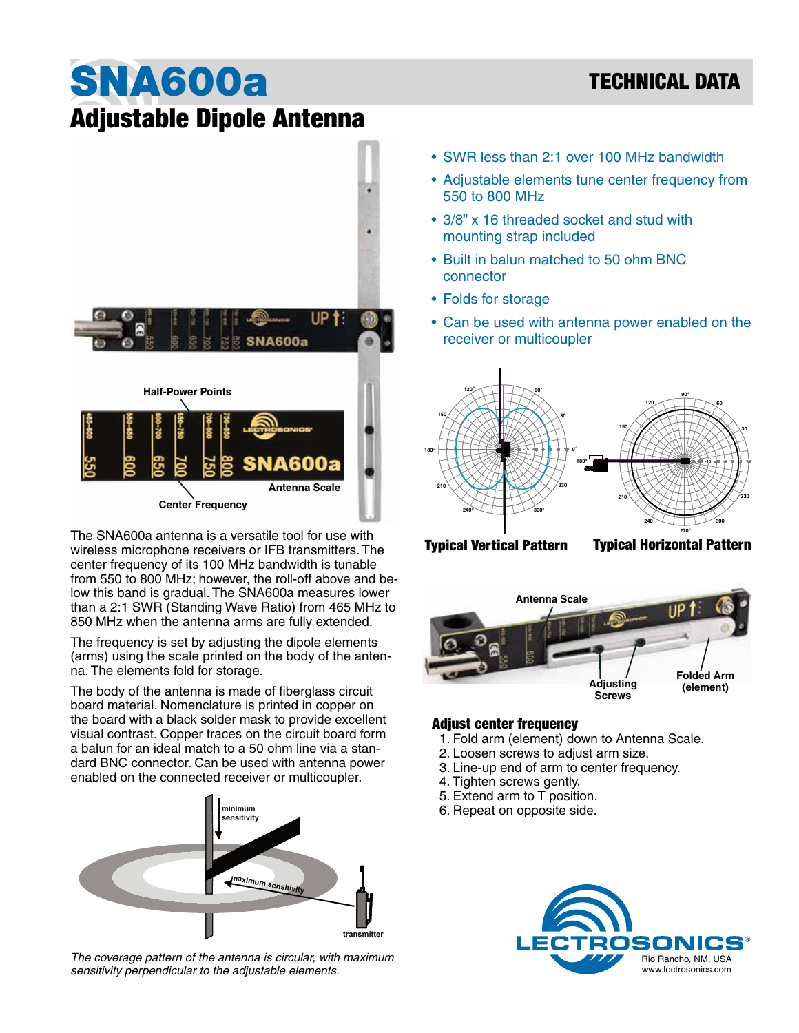# TECHNICAL DATA

# SNA600a Adjustable Dipole Antenna



The SNA600a antenna is a versatile tool for use with wireless microphone receivers or IFB transmitters. The center frequency of its 100 MHz bandwidth is tunable from 550 to 800 MHz; however, the roll-off above and below this band is gradual. The SNA600a measures lower than a 2:1 SWR (Standing Wave Ratio) from 465 MHz to 850 MHz when the antenna arms are fully extended.

The frequency is set by adjusting the dipole elements (arms) using the scale printed on the body of the antenna. The elements fold for storage.

The body of the antenna is made of fiberglass circuit board material. Nomenclature is printed in copper on the board with a black solder mask to provide excellent visual contrast. Copper traces on the circuit board form a balun for an ideal match to a 50 ohm line via a standard BNC connector. Can be used with antenna power enabled on the connected receiver or multicoupler.



*The coverage pattern of the antenna is circular, with maximum sensitivity perpendicular to the adjustable elements.* 

- SWR less than 2:1 over 100 MHz bandwidth
- Adjustable elements tune center frequency from 550 to 800 MHz
- 3/8" x 16 threaded socket and stud with mounting strap included
- Built in balun matched to 50 ohm BNC connector
- Folds for storage
- Can be used with antenna power enabled on the receiver or multicoupler



Typical Vertical Pattern Typical Horizontal Pattern

**330**

**0**

**o**



#### Adjust center frequency

- 1. Fold arm (element) down to Antenna Scale.
- 2. Loosen screws to adjust arm size.
- **240 300** 3. Line-up end of arm to center frequency.
- 4. Tighten screws gently.
- 5. Extend arm to T position.
- 6. Repeat on opposite side.